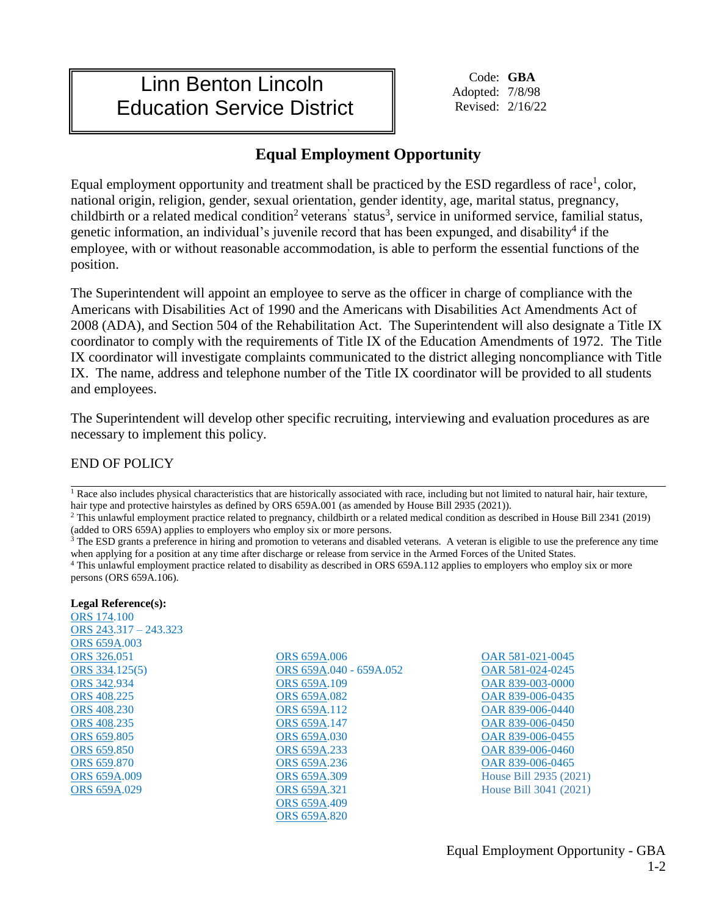## Linn Benton Lincoln Education Service District

Code: **GBA** Adopted: 7/8/98 Revised: 2/16/22

## **Equal Employment Opportunity**

Equal employment opportunity and treatment shall be practiced by the ESD regardless of race<sup>1</sup>, color, national origin, religion, gender, sexual orientation, gender identity, age, marital status, pregnancy, childbirth or a related medical condition<sup>2</sup> veterans' status<sup>3</sup>, service in uniformed service, familial status, genetic information, an individual's juvenile record that has been expunged, and disability<sup>4</sup> if the employee, with or without reasonable accommodation, is able to perform the essential functions of the position.

The Superintendent will appoint an employee to serve as the officer in charge of compliance with the Americans with Disabilities Act of 1990 and the Americans with Disabilities Act Amendments Act of 2008 (ADA), and Section 504 of the Rehabilitation Act. The Superintendent will also designate a Title IX coordinator to comply with the requirements of Title IX of the Education Amendments of 1972. The Title IX coordinator will investigate complaints communicated to the district alleging noncompliance with Title IX. The name, address and telephone number of the Title IX coordinator will be provided to all students and employees.

The Superintendent will develop other specific recruiting, interviewing and evaluation procedures as are necessary to implement this policy.

END OF POLICY

<sup>1</sup> Race also includes physical characteristics that are historically associated with race, including but not limited to natural hair, hair texture, hair type and protective hairstyles as defined by ORS 659A.001 (as amended by House Bill 2935 (2021)).

<sup>2</sup> This unlawful employment practice related to pregnancy, childbirth or a related medical condition as described in House Bill 2341 (2019) (added to ORS 659A) applies to employers who employ six or more persons.

<sup>3</sup> The ESD grants a preference in hiring and promotion to veterans and disabled veterans. A veteran is eligible to use the preference any time when applying for a position at any time after discharge or release from service in the Armed Forces of the United States.

<sup>4</sup> This unlawful employment practice related to disability as described in ORS 659A.112 applies to employers who employ six or more persons (ORS 659A.106).

**Legal Reference(s):** [ORS 174.](https://www.oregonlegislature.gov/bills_laws/ors/ors174.html)100 [ORS 243.](http://policy.osba.org/orsredir.asp?ors=ors-243)317 – 243.323 [ORS 659A.0](https://www.oregonlegislature.gov/bills_laws/ors/ors659.html)03 [ORS 326.0](https://www.oregonlegislature.gov/bills_laws/ors/ors326.html)51 [ORS 334.](https://www.oregonlaws.org/ors/chapter/334)125(5) [ORS 342.](https://www.oregonlegislature.gov/bills_laws/ors/ors342.html)934 [ORS 408.](https://www.oregonlegislature.gov/bills_laws/ors/ors408.html)225 [ORS 408.](https://www.oregonlegislature.gov/bills_laws/ors/ors408.html)230 [ORS 408.](https://www.oregonlegislature.gov/bills_laws/ors/ors408.html)235 [ORS 659.](https://www.oregonlegislature.gov/bills_laws/ors/ors659.html)805 [ORS 659.](https://www.oregonlegislature.gov/bills_laws/ors/ors659.html)850 [ORS 659.](https://www.oregonlegislature.gov/bills_laws/ors/ors659.html)870 [ORS 659A.0](https://www.oregonlegislature.gov/bills_laws/ors/ors659.html)09 [ORS 659A.0](https://www.oregonlegislature.gov/bills_laws/ors/ors659.html)29

[ORS 659A.](https://www.oregonlegislature.gov/bills_laws/ors/ors659.html)006 [ORS 659A.](https://www.oregonlegislature.gov/bills_laws/ors/ors659.html)040 - 659A.052 [ORS 659A.](https://www.oregonlegislature.gov/bills_laws/ors/ors659.html)109 [ORS 659A.](https://www.oregonlegislature.gov/bills_laws/ors/ors659.html)082 [ORS 659A.](https://www.oregonlegislature.gov/bills_laws/ors/ors659.html)112 [ORS 659A.](http://policy.osba.org/orsredir.asp?ors=ors-659a)147 [ORS 659A.](https://www.oregonlegislature.gov/bills_laws/ors/ors659.html)030 [ORS 659A.](https://www.oregonlegislature.gov/bills_laws/ors/ors659.html)233 [ORS 659A.](https://www.oregonlegislature.gov/bills_laws/ors/ors659.html)236 [ORS 659A.](https://www.oregonlegislature.gov/bills_laws/ors/ors659.html)309 [ORS 659A.](https://www.oregonlegislature.gov/bills_laws/ors/ors659.html)321 [ORS 659A.](https://www.oregonlegislature.gov/bills_laws/ors/ors659.html)409 [ORS 659A.](https://www.oregonlegislature.gov/bills_laws/ors/ors659.html)820

[OAR 581-021-](https://secure.sos.state.or.us/oard/displayChapterRules.action?selectedChapter=137)0045 [OAR 581-024-](https://secure.sos.state.or.us/oard/displayChapterRules.action?selectedChapter=137)0245 [OAR 839-003-](https://secure.sos.state.or.us/oard/displayChapterRules.action?selectedChapter=24)0000 [OAR 839-006-](https://secure.sos.state.or.us/oard/displayChapterRules.action?selectedChapter=24)0435 [OAR 839-006-](https://secure.sos.state.or.us/oard/displayChapterRules.action?selectedChapter=24)0440 [OAR 839-006-](https://secure.sos.state.or.us/oard/displayChapterRules.action?selectedChapter=24)0450 [OAR 839-006-](https://secure.sos.state.or.us/oard/displayChapterRules.action?selectedChapter=24)0455 [OAR 839-006-](https://secure.sos.state.or.us/oard/displayChapterRules.action?selectedChapter=24)0460 [OAR 839-006-](https://secure.sos.state.or.us/oard/displayChapterRules.action?selectedChapter=24)0465 House Bill 2935 (2021) House Bill 3041 (2021)